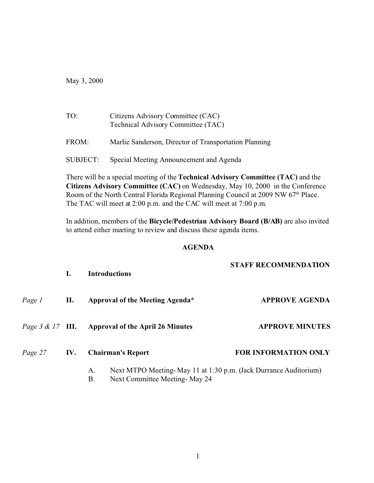May 3, 2000

| TO:      | Citizens Advisory Committee (CAC)<br>Technical Advisory Committee (TAC) |  |  |
|----------|-------------------------------------------------------------------------|--|--|
| FROM:    | Marlie Sanderson, Director of Transportation Planning                   |  |  |
| SUBJECT: | Special Meeting Announcement and Agenda                                 |  |  |

There will be a special meeting of the **Technical Advisory Committee (TAC)** and the **Citizens Advisory Committee (CAC)** on Wednesday, May 10, 2000 in the Conference Room of the North Central Florida Regional Planning Council at 2009 NW 67<sup>th</sup> Place. The TAC will meet at 2:00 p.m. and the CAC will meet at 7:00 p.m.

In addition, members of the **Bicycle/Pedestrian Advisory Board (B/AB)** are also invited to attend either meeting to review and discuss these agenda items.

## **AGENDA**

|         | L.  | <b>Introductions</b>                                                                                            | <b>STAFF RECOMMENDATION</b><br><b>APPROVE AGENDA</b> |  |
|---------|-----|-----------------------------------------------------------------------------------------------------------------|------------------------------------------------------|--|
| Page 1  | П.  | Approval of the Meeting Agenda*                                                                                 |                                                      |  |
|         |     | <i>Page 3 &amp; 17</i> III. Approval of the April 26 Minutes                                                    | <b>APPROVE MINUTES</b>                               |  |
| Page 27 | IV. | <b>Chairman's Report</b>                                                                                        | <b>FOR INFORMATION ONLY</b>                          |  |
|         |     | Next MTPO Meeting-May 11 at 1:30 p.m. (Jack Durrance Auditorium)<br>A.<br>Β.<br>Next Committee Meeting - May 24 |                                                      |  |